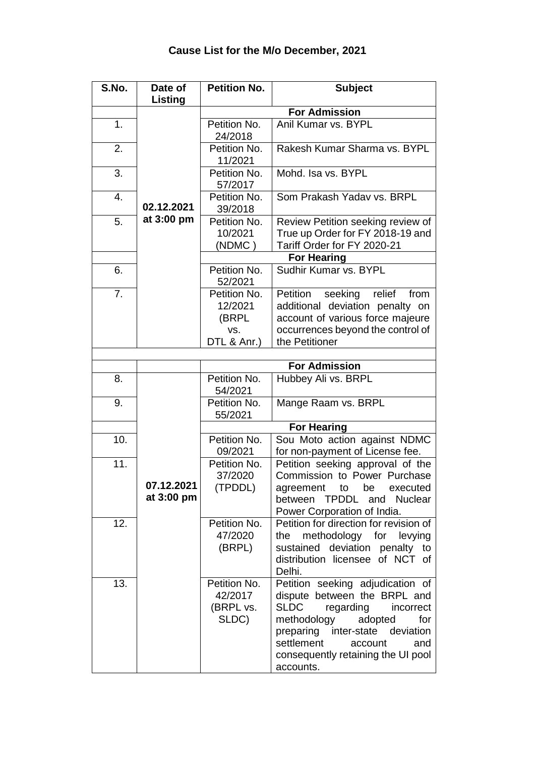| S.No. | Date of                  | <b>Petition No.</b>                           | <b>Subject</b>                                                                                                                                                                                                                                                   |
|-------|--------------------------|-----------------------------------------------|------------------------------------------------------------------------------------------------------------------------------------------------------------------------------------------------------------------------------------------------------------------|
|       | Listing                  |                                               |                                                                                                                                                                                                                                                                  |
|       |                          |                                               | <b>For Admission</b>                                                                                                                                                                                                                                             |
| 1.    |                          | Petition No.<br>24/2018                       | Anil Kumar vs. BYPL                                                                                                                                                                                                                                              |
| 2.    |                          | Petition No.<br>11/2021                       | Rakesh Kumar Sharma vs. BYPL                                                                                                                                                                                                                                     |
| 3.    |                          | Petition No.<br>57/2017                       | Mohd. Isa vs. BYPL                                                                                                                                                                                                                                               |
| 4.    | 02.12.2021               | Petition No.<br>39/2018                       | Som Prakash Yadav vs. BRPL                                                                                                                                                                                                                                       |
| 5.    | at 3:00 pm               | Petition No.<br>10/2021<br>(NDMC)             | Review Petition seeking review of<br>True up Order for FY 2018-19 and<br>Tariff Order for FY 2020-21<br><b>For Hearing</b>                                                                                                                                       |
| 6.    |                          | Petition No.                                  | Sudhir Kumar vs. BYPL                                                                                                                                                                                                                                            |
|       |                          | 52/2021                                       |                                                                                                                                                                                                                                                                  |
| 7.    |                          | Petition No.<br>12/2021<br>(BRPL<br>VS.       | seeking relief<br>Petition<br>from<br>additional deviation penalty on<br>account of various force majeure<br>occurrences beyond the control of                                                                                                                   |
|       |                          | DTL & Anr.)                                   | the Petitioner                                                                                                                                                                                                                                                   |
|       |                          |                                               |                                                                                                                                                                                                                                                                  |
|       |                          |                                               | <b>For Admission</b>                                                                                                                                                                                                                                             |
| 8.    |                          | Petition No.<br>54/2021                       | Hubbey Ali vs. BRPL                                                                                                                                                                                                                                              |
| 9.    |                          | Petition No.<br>55/2021                       | Mange Raam vs. BRPL                                                                                                                                                                                                                                              |
|       |                          |                                               | <b>For Hearing</b>                                                                                                                                                                                                                                               |
| 10.   |                          | Petition No.<br>09/2021                       | Sou Moto action against NDMC<br>for non-payment of License fee.                                                                                                                                                                                                  |
| 11.   | 07.12.2021<br>at 3:00 pm | Petition No.<br>37/2020<br>(TPDDL)            | Petition seeking approval of the<br>Commission to Power Purchase<br>agreement<br>to<br>be<br>executed<br>between TPDDL and<br><b>Nuclear</b><br>Power Corporation of India.                                                                                      |
| 12.   |                          | Petition No.<br>47/2020<br>(BRPL)             | Petition for direction for revision of<br>methodology for<br>the<br>levying<br>sustained deviation penalty to<br>distribution licensee of NCT of<br>Delhi.                                                                                                       |
| 13.   |                          | Petition No.<br>42/2017<br>(BRPL vs.<br>SLDC) | Petition seeking adjudication of<br>dispute between the BRPL and<br><b>SLDC</b><br>regarding<br>incorrect<br>methodology<br>adopted<br>for<br>preparing inter-state deviation<br>settlement<br>account<br>and<br>consequently retaining the UI pool<br>accounts. |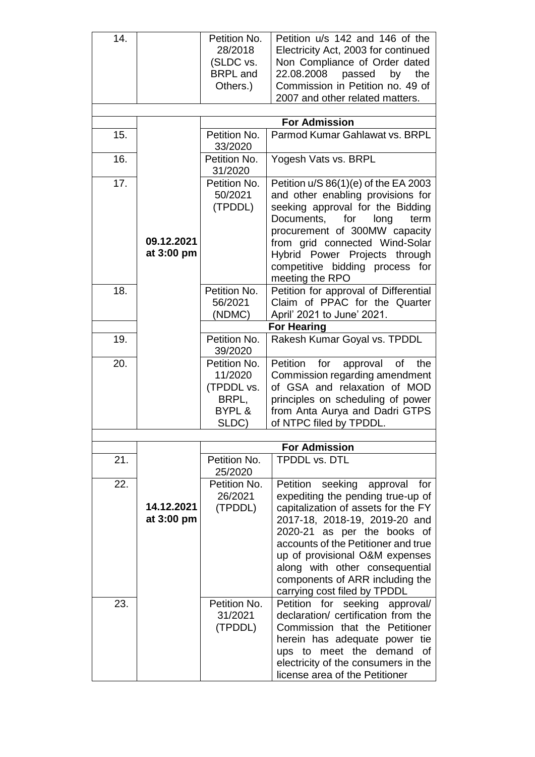| 14. |            | Petition No.<br>28/2018 | Petition u/s 142 and 146 of the<br>Electricity Act, 2003 for continued |
|-----|------------|-------------------------|------------------------------------------------------------------------|
|     |            | (SLDC vs.               | Non Compliance of Order dated                                          |
|     |            | <b>BRPL</b> and         | 22.08.2008 passed<br>by<br>the                                         |
|     |            | Others.)                | Commission in Petition no. 49 of                                       |
|     |            |                         | 2007 and other related matters.                                        |
|     |            |                         | <b>For Admission</b>                                                   |
| 15. |            | Petition No.            | Parmod Kumar Gahlawat vs. BRPL                                         |
|     |            | 33/2020                 |                                                                        |
| 16. |            | Petition No.<br>31/2020 | Yogesh Vats vs. BRPL                                                   |
| 17. |            | Petition No.            | Petition $u/S 86(1)(e)$ of the EA 2003                                 |
|     |            | 50/2021                 | and other enabling provisions for                                      |
|     |            | (TPDDL)                 | seeking approval for the Bidding<br>Documents, for<br>long<br>term     |
|     |            |                         | procurement of 300MW capacity                                          |
|     | 09.12.2021 |                         | from grid connected Wind-Solar                                         |
|     | at 3:00 pm |                         | Hybrid Power Projects through                                          |
|     |            |                         | competitive bidding process for                                        |
|     |            |                         | meeting the RPO                                                        |
| 18. |            | Petition No.<br>56/2021 | Petition for approval of Differential<br>Claim of PPAC for the Quarter |
|     |            | (NDMC)                  | April' 2021 to June' 2021.                                             |
|     |            |                         | <b>For Hearing</b>                                                     |
| 19. |            | Petition No.            | Rakesh Kumar Goyal vs. TPDDL                                           |
|     |            | 39/2020                 |                                                                        |
| 20. |            | Petition No.            | Petition for<br>approval<br>of<br>the                                  |
|     |            | 11/2020<br>(TPDDL vs.   | Commission regarding amendment<br>of GSA and relaxation of MOD         |
|     |            | BRPL,                   | principles on scheduling of power                                      |
|     |            | BYPL &                  | from Anta Aurya and Dadri GTPS                                         |
|     |            | SLDC)                   | of NTPC filed by TPDDL.                                                |
|     |            |                         |                                                                        |
| 21. |            | Petition No.            | <b>For Admission</b><br><b>TPDDL vs. DTL</b>                           |
|     |            | 25/2020                 |                                                                        |
| 22. |            | Petition No.            | Petition seeking approval<br>for                                       |
|     |            | 26/2021                 | expediting the pending true-up of                                      |
|     | 14.12.2021 | (TPDDL)                 | capitalization of assets for the FY                                    |
|     | at 3:00 pm |                         | 2017-18, 2018-19, 2019-20 and                                          |
|     |            |                         | 2020-21 as per the books of<br>accounts of the Petitioner and true     |
|     |            |                         | up of provisional O&M expenses                                         |
|     |            |                         | along with other consequential                                         |
|     |            |                         | components of ARR including the                                        |
|     |            |                         | carrying cost filed by TPDDL                                           |
| 23. |            | Petition No.            | Petition for seeking approval/                                         |
|     |            | 31/2021<br>(TPDDL)      | declaration/ certification from the<br>Commission that the Petitioner  |
|     |            |                         | herein has adequate power tie                                          |
|     |            |                         | ups to meet the demand of                                              |
|     |            |                         | electricity of the consumers in the                                    |
|     |            |                         | license area of the Petitioner                                         |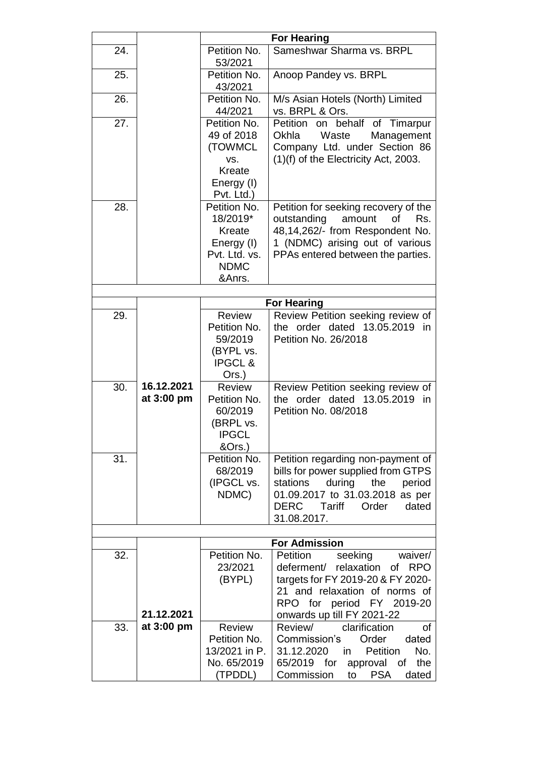|     |                          | <b>For Hearing</b>                                                                         |                                                                                                                                                                                                   |
|-----|--------------------------|--------------------------------------------------------------------------------------------|---------------------------------------------------------------------------------------------------------------------------------------------------------------------------------------------------|
| 24. |                          | Petition No.<br>53/2021                                                                    | Sameshwar Sharma vs. BRPL                                                                                                                                                                         |
| 25. |                          | Petition No.<br>43/2021                                                                    | Anoop Pandey vs. BRPL                                                                                                                                                                             |
| 26. |                          | Petition No.<br>44/2021                                                                    | M/s Asian Hotels (North) Limited<br>vs. BRPL & Ors.                                                                                                                                               |
| 27. |                          | Petition No.<br>49 of 2018<br>(TOWMCL<br>VS.<br><b>Kreate</b><br>Energy (I)<br>Pvt. Ltd.)  | on behalf of Timarpur<br>Petition<br>Okhla<br>Waste<br>Management<br>Company Ltd. under Section 86<br>(1)(f) of the Electricity Act, 2003.                                                        |
| 28. |                          | Petition No.<br>18/2019*<br>Kreate<br>Energy (I)<br>Pvt. Ltd. vs.<br><b>NDMC</b><br>&Anrs. | Petition for seeking recovery of the<br>amount<br>outstanding<br>οf<br>Rs.<br>48,14,262/- from Respondent No.<br>1 (NDMC) arising out of various<br>PPAs entered between the parties.             |
|     |                          |                                                                                            | <b>For Hearing</b>                                                                                                                                                                                |
| 29. |                          | <b>Review</b>                                                                              | Review Petition seeking review of                                                                                                                                                                 |
|     |                          | Petition No.<br>59/2019<br>(BYPL vs.<br><b>IPGCL&amp;</b><br>Ors.)                         | the order dated 13.05.2019<br>in<br>Petition No. 26/2018                                                                                                                                          |
| 30. | 16.12.2021<br>at 3:00 pm | <b>Review</b><br>Petition No.<br>60/2019<br>(BRPL vs.<br><b>IPGCL</b><br>&Ors.)            | Review Petition seeking review of<br>the order dated 13.05.2019 in<br>Petition No. 08/2018                                                                                                        |
| 31. |                          | Petition No.<br>68/2019<br>(IPGCL vs.<br>NDMC)                                             | Petition regarding non-payment of<br>bills for power supplied from GTPS<br>stations<br>during<br>the<br>period<br>01.09.2017 to 31.03.2018 as per<br>DERC Tariff<br>Order<br>dated<br>31.08.2017. |
|     |                          |                                                                                            | <b>For Admission</b>                                                                                                                                                                              |
| 32. | 21.12.2021               | Petition No.<br>23/2021<br>(BYPL)                                                          | Petition<br>seeking<br>waiver/<br>deferment/ relaxation of RPO<br>targets for FY 2019-20 & FY 2020-<br>21 and relaxation of norms of<br>RPO for period FY 2019-20<br>onwards up till FY 2021-22   |
| 33. | at 3:00 pm               | <b>Review</b><br>Petition No.<br>13/2021 in P.<br>No. 65/2019<br>(TPDDL)                   | Review/<br>clarification<br><b>of</b><br>dated<br>Commission's<br>Order<br>31.12.2020<br>No.<br>Petition<br>in in<br>65/2019 for approval of<br>the<br>Commission<br><b>PSA</b><br>dated<br>to    |